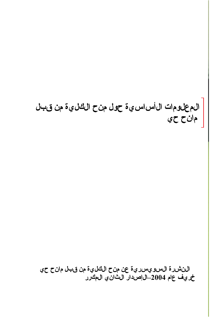# الم علومات ال أس اس ي ة حول من ح الكل ي ة من قبل مان ح حي

الن شررة السويس رية عن من الكلية من قبل مان حي خريف عام 2004–ال|صدار الثاني المكرر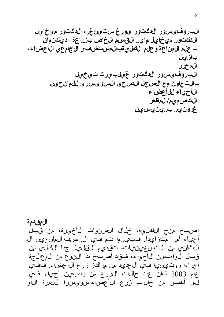المقدمة أصبح منح الكلية، خلال السنوات الأخيرة، من قُبَّل أحياء أمراً مّتزايدا. فبين10 تم في النصف المانحين ال الثاني من التسعينيات، تقديم القليل جدا الكان من قبال الوامبيين الأحياء، فقد أصبح مذا النوع من ال عالجة إجراءا روتءينءيا فـي ال£ديد من مراكوز زرع الأعضاء. فَفَي عام 2003 لمحان عدد حال1ت الزرع من وامبين أحياء في لَّ فَالْحَبِينِ مِن حَمِّلَاتٌ زِرِعِ الْأَعِضَاءِ سِوِي سِرا لَلْمِرةِ الْأَو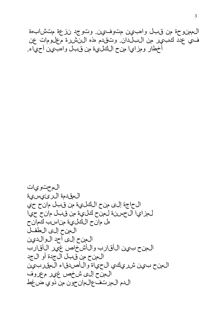ال،مونوحة من قبال واهب ين متوفيين. وتوجد نزعة متشابهة ف ي عدد ك بير من البلّدان وتقدم مذه النّشررة معلّومات عن أخطار ومزاي! منح الكلُّبية من قبل واهبُّبين أحهِّاء.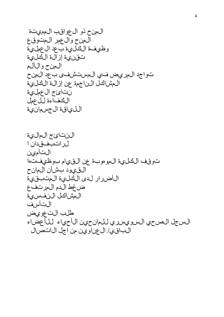ال منح ذو ال عواقب ال مهيتة الءنح وال عدر الءتوقع وظييفة الكلية بّ عد ال عمليّة تقنءٍة إز الة اللَّكليَة الءنح والألم تواجد المريض في المستشفى بعد المن ال هشاكل الناجمة عن إزالة الكلية نتائج ال عملية ال الحف اءة ل ل عمل اللياق الجسمانية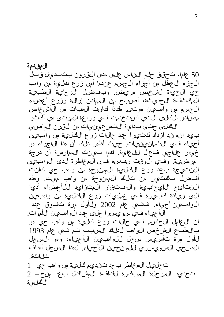المقدمة 50 عاما، تحقق حلم ال ناس على مدى التىرون بتتبدىل قبل ال جزء ال عطل من أجزاء ال جسم عندما أمن زرع لحليءٌ من وامب حي الحياة لشخص مريض. وبفضل الرعاية الطبية الَّـمَكِّـثْفَّـةُ الْحِديثَة، أصلبح من الْمِمِكِّن إزالَة وزُرع أعضاًء ال جسم من وامبين موتين ملحذا كانت الءبات من ال أشخاص مصادر الكالى التي استخدمت في زراعة الموتى مي أكثر الكالى حتى بدايءَ التسعينيات من النيرن الماضي. بءيد انء ق دازداد كثءيرا عدد حالات زرع الكانءية من واصبىن أحياء في الثمانيينيات. حيث أظمر ذلك أن مذا الإجراء مو خيار علاجي فعال للغاية. كما بينت الممارسة أن درجة مرضيَّة. وفي الوقت نفسه فإن المخاطرة لدى الواهبين الننت ي ج ة ب عد زرع الكلية ال مصنوحة من وامب حي كانت أفخنل بكثَّير من تلك الممنوحة من وامب ميت. وهذه النناوئج الإيجابية والافتقار المتزايد للأحضاء أديا إلىي زيادة كابيرة في عمليات زرع الكلية من وامبين ال $\epsilon$ واهبيين أحياء. فخاي عام 2002 ول $\dot{\epsilon}$ ل مرة تفوق عدد الأحياء في سويسرا على عدد الوامبين الأموات. إن ال¢امل الحاس في حالات زرع كليءَ من واهب حي هو باللطب ع ال شخص الوامب لذلك السبب تم في عام 1993 لأول مرة تأس يس سجل للوامب ين الأحياء، ومو السجل الصرحي السرويسرري للمانحين الأحياء. لمذا السجل أمداف

تحليل المخاطر بحد تقديم كلية من وامب حي 1 تحديد المرحلة المبكرة لكافة المشاكل بحد منح \_ 2 اللحلىء

ثل اثة: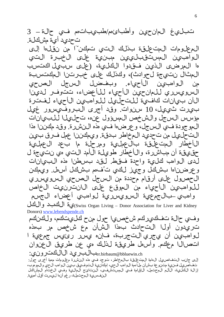تباليءَ المان جين وأطبائ،م/طبيبات،م في حالة \_ 3 تحديد أيءٌ مشكلة.

ال مع لوحات ال مت على ق بذلك التي تمكن" من ن قل الى الوامبيون المستقبلييين مبنية على الخبرة الت ها المرضى الذين فقدوا الكلئية، (على سبيل اكتسب ال مثال نتوج ج قل حوادث)، ولكذلك على خبرتنا ال مكتسبة ال وامب ين الأحياء. وبفضل السجل الصرحي حن<br>ح السويسري للمان ي ل الأمياء للمان على الله عن الله الله ال[ن بيجان|ت كافية للتحليل للوامبين الأحياء لفتن بيرت شيءل، 10 سنوات. وقد أجرى البروفيسور غيل مؤسس السجل والشخص المسؤول عنه، تحليل للبين الهوجودة في السجل، وعرضها في مذه النشررة. وقد مكننا مذا التحليل من تحديد المخاطر بدقة. ويمكننا عمل فرق بين الأخطار الءتحليقة بالحملية ومرحلة ما بحد الحملية حقَّىقة أن مباشَّرة، والأخطار طويلة الأمد التَّتي مي نتَّتيجة ل لدى الوامب كليءَ واحدة فتيط. لقد بسطن هذه البيانات وعرضناها بشاكل وجيز لكي تُفهم بشكل أسهل ويهكن ال حصول على أرقام محددة من السرجل الصرحي السرويسري للوامبين الأحياء من الموقع على الانترنيت الخاص وامبيي ببالجمءي ةالسويسرية لوامبي أعضاء الجسم

Swiss Organ Living - Donor Association for Liver and Kidney)ي ة البالحيان و البالحل Donors) www.lebendspende.ch

وفي حمالة تفكيركم شخصيا حول منح كليتكم، ولكينكم تريدون أول التحادث بهذا الشرأن مع شخص مر بهذه لوامبين أن يجري التجربة، فإنه يسر رئيس جمءية ا اتحرال مع الحج وأس العريقة لذلك مي عن طريق ال عن وان er.birbaum@bbluewin.chبالبرىد الالكترونى:

إلى جانب التفاص يل ال اممة ال مت عليقة بال خاطر، توجد في هذه الن شرة م عليومات م معة أخرى حول: ت السيس السيس السيس السيس السيس السيس السيس السيس السيس السيس السيس السيس السيس السيس السيس السيس ال<br>مستقبل السيس السيس السيس السيس السيس السيس السيس السيس السيس السيس السيس السيس السيس السيس السيس السيس السيس ا إزال: الْأَفْلَى، وَالْأَوْلِ الْمَرْسَمِلْ، الْإِفْرَادة فِي الْمِستَشْهَفْ، الْيِنتاويج الْمِرْانِيّ وفسي ال ختام المشاكل النفسرية المِّحتملة، رغم أنها ليست أقل أممية.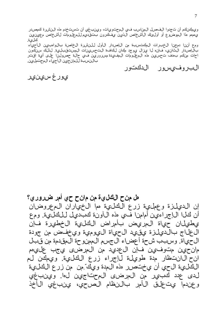وي!افينكم أن تجدوا الفحمل المهناسب في المحتويات، وي بنبغي أن تستخدم مذه النشرة كمصدر يءمهم مذا ال0وضوع أو أولىءُك ال1شخاص الذي نيفكرون بتقديم للمعلومات ل1شخاص م،ين،ين كالىءَ. ومع أنن ا دمجن الخبرات ال الحيات من الباصدار الأول للنشرة الخاصة بال واسهن الحين الأحياء بال[إصدار اللَّثاني، فإنه لا يجزال ي جد طان للااف الت حسي نات المست قبلية. لذلَّك سن الله عنه احات منكم بءدف ت-سرين هذه ال5غلومات ال0هف،دة مسرورتين في حالة حصولين! على أية اقت بالنسبة للمان وين الأحياء المحتملين.

البروفيسور الدكتور

يور غ سي نير

هل منح الكليءَ من مانح حي أمر ضروري؟ إن الديلزة وعملهية زرع الكليءة مما الخياران المعروضان أن كال الإجراءين أمامن في مذه ال آونة كبديل للكلية. ومع يطهلاان حياة المريض بأمراض الكلية الخطهرة فإن ال علاج بالديلزة ي قيد ال حياة الي وجية وي خفض جن جودة ال5ي)اة. وسبب شحة أعضاء ال5سم المهنوحة الموضدة من قُبل مان حين متوفين فإن ال عديد من المرضى ي جب عليهم انح ال\نتظار مدة طويلة لإجراء زرع الكلية. وي كان ا اللَّـفايءَ ال7ي أن ي†تصرر هذه المدة ويكَّ ّمِن من زرع اللَّـفايءَ لدى عدد كبير من المرضى المحتاجين لءا. وينبغي و عندما يت عليق الأمر بالنظام الصحي، ينبغي الأخذ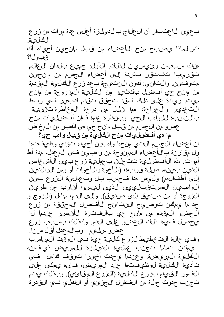ب عي نال اعتبار أن ال علاج بالدي لزة أغلى عدة مرات من زرع الكال *ي*ة. تْر لْمِاذَا يُصلبح منح الْأعِضاء مِنْ قْبِلْ مِانْحِيْنْ أَحِيَاء أَكْ قبولا؟

ەناك سببان رئىسىان لذلك. الأول: جميع بلدان العالم تقريبا تفتقر بشدة إلى أعضاء الجسم من مانحين متوفيين. والثاني: كون النتي جة بعد زرع الكليءَ المقدمة من مانح حي أفخسل بكُثير من الكليءَ المزروعة من مانح مِهِت. زيادة على ذلك فتقد تحقق تقدم كبير في ربط التخدير والجراحة، مما قلل من درجة المخاطرة تقنية بالنسبة للوامب الحي وبنظرة عامة فإن أفضل وات منح عضو من ال جسم من قبل مان ح حي مي الحبر من المخاطر.

م١ هي أفضلييات منح الكليءَ من قبل واهب حي؟ إن أعضاء ال5سم التءي منحها وامبون أحياء تؤدي وظيفتها ول مِّقارنة بالاأعضاء ال\$منوحة من واهبءين فــي المءدل، مدة أط أموات. مذه ال|فحنليءَ تت عليق بعمليءَ زرع بيين ال|شخاص الذين بيين م صلة قرابة، (الأخوة والأخوات أو ومن الوالدين إلى أطفالهم) وليس هذا فحسب بل وبحملية الزرع بين الوامبيون الممستقبلييين الذين ليسوا أقارب عن طريق الزوجة أو من صدي ق إلى صدي ق). وإلى الدم، مثل (الزوج و حد ما يهكن توضييح النتائج الأفضل المحققة من زرِّع ال عضور ال وقدم من مانح حي بالفتنرة الأقص رحن دم ل ا ي حصل فيءا ذلك ال عضو على الدم. وكذلك بسبب زرع عضوه سلءم وبالمءدل أقل سنا.

وفي حال: التخطيط لزرع لثلية حية في الوقت الجناسب ىمكن تماما تجنب عملىة الدىلزة للمرىض ذى فإنه اللَّكلِّينَ المريضينَ. وعندما يحدث أخيرا توقف كامل في تأدي: الكلي: لوظيفتها عند المريض، فإنه يهكن على الفور القىءام بزرع الكلىءَ (الزرع الوقائ،). وبذلك يتم تجنب حدوث حال: من الفشل الجزئءِ أو الكليء في القدرة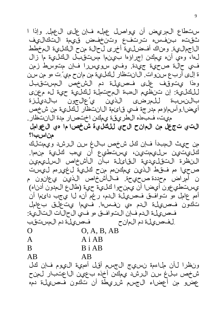ستطاع المرويض أن يواصل عمله فإن على العهل. وإذا ا ثقته بنفسه ترتفع وتنخفض قيهمة التكاليف ال!جماليية. ومناك أفضلية أخرى لحالة منح الكلية المخطط ل0ه، وهي أن، يهكن إجراؤها بيينما مستقبل الكليءَ ما زال في حالة صحية جيدة. وفي سويسرا فإن متوسط زمن ة إلى أرب ع س زوات. ال انتظار لك لي: من مان ح مي ّتِ هو من سن وهذا يتوقف على فحسىلة دم الشخص المستقبل لللكلي، إن تنظيم ال سة المرحت ملة للحلي، حية له محنى بالنسبة للمرضى الذين ي'عالجون بالدينزة أي ضا.وأسماؤهم مدرجة في قائءة الىانتظار لكليءة من شخص مِيت، فبءذه الطريقة يهكن اختصار مدة الانتظار

التي تج عل من المانح الحي للكليءَ شخص ا ما مي ال عوامل من اسب ا؟

من حيِّ المبدأ فإن كل شخص بالغ سن الرشد ويهتلك كانيتين سليمتين، يستطيع أن يمب كليءَ منما. الن طُرة التقل يديء القائلة بأن الأشخاص السلءي ين صحيا مم فتقط الذين ي الحن م منح لعلية ل غير مم ليست ن أمراض محددة صحيحة. فال1أشخاص الذي: ي&انون م يستطيعون أيضا أن يهنحوا كليء حية (طالع المدون أدناه) أمم عامل مو توافق فحريلة الدم، رغم أنه لا يجب دائما أن تأدون فحريانة الدم مي نفس،ا. في يما يتعلق بعامل فحص يلة الدم فإن التوافق مو في الحالات التالية: لفحريانة دم المانح مستفسيل المعنى المستفي  $O, A, B, AB$  $\Omega$ 

 $\overline{A}$ 

# $A$  i AB

B **B**iAB  $AB$ 

 $AB$ 

ونظرا لأن ملاءمة نسءيج الجسم أقل أممية اليوم فإن كل شخص بل غ سن الرشد يجكن أخذه بحين الاعتبار لحنح عضو من أعضاء ال جسم شرر مِطْة أن تُنكون فَصريلة دمَّ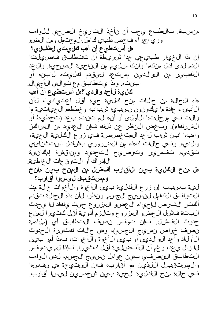منسبة. بالطبع يجب أن نأخذ التاريخ الصحي للواهب وري إجراء فحص طبي كامل المحتمل ومن الضرر هل أستطيع أن أهب كليت ي الطفلي ؟ إن مذا الخيار طبيءي جي جدا شرريطة أن تتطابق فحصي لتا

الدم لدى كال منكما وانك سليم من الناحية الصحية. وال عد اللكبير من الوالدين مست عد ليقدم كليت عن لابت، أو ابننته. وهذا يتطابق مع توالي الأجيال. ك لى ة ل أحد و ال دى ؟ مل أست طي ع أن أهب

هذه الحالة من حالات منح كليءَ حيىة أقل اعتواديا، لأن الأبيناء عادة ما يكونون نسبيا شبابا وخططمم الحياتية ما زالت في مرحلتها الأولى أو أنها لم تننته بحد (تخطيط أو الشرركاء). وب غض النظر عن ذلك فإن ال عديد من المراكز واهبها ابن شاب لأحد ال متخصص، في زرع الكليءَ الحية، والديء. وفي حالات كمذه من الضرروري بشكل استثنائي تقديء تفسرير وتوضييح لتحديد ومناقشة إمكانية ال إدراك أو التوفي عات ال خماطئة.

هل منح الكلىءة بىن ال|فىارب أفىضل من المنح بىن مانح ومستقبل لىسوا أقارب؟

لىي، بسببب إن زرع الكلية بين الأخوة والأخوات حال، مثا التوافق الكامل لنسهج الجسم. ونظرا لأن مذه الحالة تقدم ألفثر الفرص لإجهاء ال عضو المزروع حيث يلداد لا يحدث البت قفشل ال عضو المزروع وتالزم أدوية أقل كثيرا لمن ع حدوث الفشل. فإن توفر نصف التطابق أي (ملاءمة نصف خواص نسءِج الجسم)، ومي حمالات الحثيرة ال حدوث ال أول اد و أحد ال وال دين أو ب ين ال أخوة وال أخوات، ف هذا أمر ب ين ل ازال ي عد، رغم أن الأفضلي، أقل كثيرا. فإذا لم يتوفر التطابق النصفي بين عوامل نسيج الجسم، لدى الوامب وال مستقبيل اللذين مما أقارب، فإن النتيجة مي نفسها في حال: منح الكلي: الحي، قال عن العن الله عن الله عنه الله عنه الله عنه الله عنه عنه عنه الله عنه عن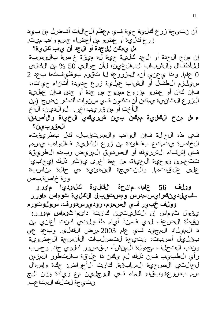أن نتيجة زرع كليءَ حية في معظم الحالات أفضل من بيد زرع لئل يءٌ أو عضو من أعضاء جسم وامب ميت. هل ىمكن لل جدة أو ال جد أن ى هب كلى ى ة؟

إن منح الجدة أو الجد كاليءَ حية له ميزة خاصة بالنسبة للأطف ال والشباب البال غين، لأن حوالي 50 % من الكلي 0 عاما. ومذا ي عن، أنه ال مزروعة ل اتقوم بوظيفتها ب عد 2 س يلزم الطفل أو الشاب عملية زرع جديدة أثن اء حي ات، فإن كان أو عضو مزروع ممنوح من جدة أو جدن فإن عملية الزرع الثان، تو يهكن أن تُنكُون فُّبِ سَنْ وات أَلْحَثُر نضجاً (مِن ال أخت أو من قريب آخر \_الوالدين، ال أخ

ء مل منح الكليءَ ممكن بين شريكي الحياة والأصدقا الءق ربى ن؟

في مذه الحالة فإن الواهب والمستقبل، كل بطريقته الخاص: يتمتح بفائ من زرع الكلية. فالواهب يس م فَّي إشفاء الشَّريك أو الصديقِّ المريض وبهذه الطريقة تت-جسن نوعية الحياة، من جمة أخرى يوئشر ذلك إيجابيا على على اق ات مما. والنتوجة الن مائ ي موس حالة من اسبة ورة خاصة بص

وولف 56 عاما، حان حة الكليءة كالماودي ام اورر ـفءِلدينڭرايس،مدرس ومستقبرل الڭليءَ تُوماس ماورر وولف خېږر فې السموم، رودېرس دورف، سولوثورم

ي قول شوماس إن اللكليتين لكانتا دائءا شوماس ماورر: ن قطة ال ضعف لدى فجن أي ام طفولتي كانت أعاني من د ال عيل اد ال م جي د في عام 2003 مرض الكلي. وب عد عي بقلِّ على الصياس، نتبيجة لتحسل بات الأنسجة ال عضوية وندب التخلف مجمولة البنشأ، بقصور كلوى حاد وحسب رأي اللطبيب فإن ذلك لم يكن ذا علىاقة بالتطور المزمن ل حالت ي الصحية السابقة. كانت الأعراض: حكة وإس ال سَمَّ بسُررعة وبَّقَّاء ال9ماء فءِ ال\رجليِّين مع زيادة وزن ال≠ نتي جة لتالك المتاعب.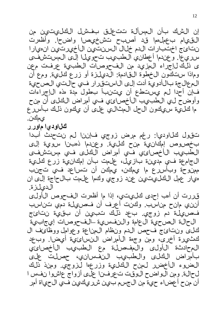إن الشلك بأن المسألة تت علق بغشل الكليتين. من ال قي ام بحمل مما قد أصبح نتشخي ص اواضحا. وأظمرت نتائج اختبارات الدم خلال السنتين الأخيرتين انهين سرريءا. و عندما أعطان، اللطبيب تحويلا إلى المستشفى ى ذلك ل!جراء المزيد من الفحوصات الطبيءَ عرفت مءن وم ذا ست كون ال خطوة الىق ادمة: ال ديلزة أو زرع كليءٌ. ومع أن ال حال جة بالأدوىة أدت إلى ال استقرار في حالتي الصحية فإنَّ أحداً له يستطع أن يتنبأ بطول مدة هذه الإجراءات وأوضحٌ لي الطَّبيبِب الأخصائِي في أمراضُ النَّائلي أنَّ منح ما كَالَيْ سِيكُونِ الْحِلِّ الْمِثْالِي عِلْي أَنْ يِكُونِ ذَلِكَ بِأَسْرِعِ ىمكن.

ن اودي ا م اور ر

تقول لثالودي!: رغم مرض زوجي فإننا لم نتحدث أبدا بخصوص إمكان،ة منح كلية. وعندما ذهبنا سوية إلى الطّبيب الأخصائيّ فّي أمراض الكلّي في مستشفى ال جام عة ف ي مدي نة بازيل، عل مت بأن إمكان ي زرع كلي، مهنوحة وبأسررع ما يهطفن، يهلفن أن تساعد في تجنب هيار عهل ال $\epsilon$ لى ال $\epsilon$ ي عن عن زوجي وكها علءت بالحاجة إلى ان الدىلىزة.

ق ررت أن أمب إحدى كلِّيتي، إذا ما أظمرت الفحوص الأولىي أنن2، مانح مناسب. وكنت أعرف أن فحسيلة دمي تناسب فحصويلة دم زوجي. بحد ذلك تبيين أن بقيية نتائج الحالة الصحية ال عامة والنفسية الفحوصات إي جابية كاني ونتائج فحص الدم ونظام البهناعة وعوامل ووظائف ال كثءيرة أخرى، ومن وجهة الأمراض النسائءية أيضا. وبءد ال حادثة الأولى وال هصلة مع الطبيب الأخصائي بأمراض الكالى والطبىب النفسانى، حصلت علىي ال ضوءِ الأخض ل ليهن ح ال كاليءَ وزرعها لزوجي. ومنذ ذلك ل حال: ومن ال واضح الوقت ت عرفين ا على أزواج عاشوا نفس ا أن منح أعضاء حية من الجسم بين شرريكين في الحياة أمر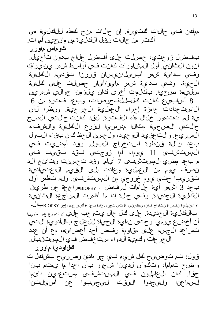ممكن في حالات كثيرة. إن حالات منح كمذه للكلية مي أكثر من حالات نقل الكلية من مان حين أموات. ٹوماس ماور ر

بفخال زوجتي، حصلت على أفخال على على جناج بدون تأجيل. ان ون ال شان، أول الَّ مشاور اتَّ كانت في أوَّاسِ ط ش ر ي ناي (ك وفي بدايءَ ش هر أبريل/نيسان قررنا تقديم الكليءَ الحيء، وفي بدايءَ شيهر مايو/أيار حصلت على كلية سل0يءة صحيا. بكالمات أخرى كان يلذرمنا حوالي شءرين 8 أس اب ي ع كانت كل للف حوص ات، وب عد فت رة من 6

ال|ست عدادات جامزة إجراء ال عملية ال جراحية. ونظرا ل أن يءَ لم تتدمور خلال مذه الفترة. لقد كانت حالتي الصح حالتي الصحية مثال مدرسيا لزرع الكلية والشفاء السرريع. والت عقيد الوحيد، ولحسن الحظ كان بقاء البول بعد إزالة قنطرة استخراج البول. وقد أمضريت في ال، ستشفى 11 ي وما، أما زوجتي فتيد بقيت في م بعد مضري المستشفى 7 أي/م. وقد تحسنت نتائع ج الد نصف ي وم من ال عملية وعادت إلى اللَّقيم الاعت ي ادية تقريب احتى ي وم خروجي من الءستشفى. ولء تتظمر أول بعد 3 أش ر أي: علىامات ل رفض ،  $_{\rm BIOPSY}$ مراجع: عن طريق اللَّكلِّينَ الَّجديدة. وفَّي حالَّة إذا ما أظَّمرت الَّجراج عق النَّانِينَ اء ال عمليءَ نفس ال ناعائج فإنه يمكنني التي تجري عادة بعد 6 أش رحلي إجر BIOPSY ب اللكلية ال جديدة. على لكل حال يت وجب على أن أنوقع عدا طويل أن أخضع يوميا وحتى نءاية الحياة للحال على اج بالأدوية التي تساعد ال جسم على مقاومة رفض أحد أعضائء، مع أن عدد ال جر عات وكمية الدواء ستخفض في المستقبل. ن اود ی ۱ م اور ر

قول: تم توضيىح لحل شيء في جو مادئ وصريح بشكل ت واض ح تءام!، وتك و ّن لدي نا شعور بأن أحدا ما ي هتم بنا حقًا. فان ال عاملون في الممستشفى مست\$دين دائما لسرماعنا ولى جدوا الوقت لى جيبوا عن أسئلتنا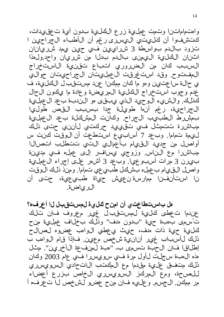واهتم(ماتين اوتحت عهل، زرع الكاليء بدون أيءٌ تعقى دات، كتشفوا أن كليتي اليسرى رغم أن الأطباء الجراحين ا تزود بالدم بواسطة 3 شرراي ين في حين يهد شريانان اثننان الكليءَ اليءني بالدم بدل من شرويان واحد ول هذا السربب لثان من الضرروري اتباع تقنءة الاستخراج ال مفت وح. وقد است غرقت ال عمليتان ال جراحيتان حوالي ي حمالة ساعتوين ومو ما كان ممكِّنا عند مستَّقبِّل الكلِّيَّة، ف عدم وجوب استخراج الكليءة المريضة وعادة ما يكون الحال كذلك. والشريء الوحيد الذي يبقى هو الندبة بحد ال عجلية ال جراحية، رغم أنها طويلة جدا بسبب القص طوليا ب مشرر ط ال طبييب ال جراح. وك أنت ال مشكلة ب عد ال عملية مباشررة تتعمثل في تقويءٍد حركتي لأننوي حتى ذلك ل ي مق ت م ام السلام و ب عد 7 أس اب ي ع اس ت ط عت أن ال وقت ك الت س أواصل من جديد الىق،ام بأعمال، الت، تتطلب اتصال مباشررا مء الناس. وزوجي يسافر إلى عمله في مدينة بءِرن 3 مرات أسبو عي!. وبعد 3 أش٥ر على إجراء ال عملية واصْل الفي،ام بحمله بشلكل طبيع عي تماما. ومنذ ذلك الوقت نا استأنفسا ممارسة ن٤يش حياة طبيءية، حتى أن ال رياضة.

هل باستطاعت ي أن امن ح كلي ة لعست قبل ل ا أعرف ه؟ عندما تعطى كليءَ لمستقبل غير معروف فإن تلك تُسهِي بِهبة حيّة "بدون هدف" وذلك بخلاف عهليّة منح كاليءَ حيءَ ذات هدف، حيث ي عطي ال1واهب عضوه لمصالح ذلك ل أسباب غير أنانية شخص مءين. فإذا قام ال واهب ب إطلاق ا فإن ال حبة تسهى ب- "مبة لمنف عة الأخرىن". مِثْل هذه ال0دبة سجلت لأول مرة فءٍ سوي سروي افءٍ 2003 وكان ذلك متفق علية مقدما مع المكتب الاتحادي السرويسري للصرحة، ومع المركز السويسري الخاص بزرع أعضاء مر مطان. ال جسم. و عليه فإن منح عضو لشخص لا تعرفه أ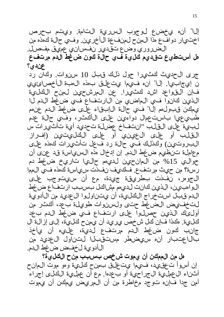إلىا" أنه يجضع ليوجوب السررية التامة. ويتم بحرص اختيار دوافع هذا البهنح لبهنفءة الأخرين. وفي حالة كهذه من الضرروري وضع تقدير نفساني عميق مفصل. هل أستطيع تقديم كلية في حالة كون ضغط الدم مرتفع عندی؟

جرى ال حديث كثيرا حول ذلك قبل 10 سنوات. وكان رد ن إيجابيا. إلى الله فيها يتgلق ب هذه ال هبة الأجص ائ فإن القواعد اشد كثَّ يرا. عن المرشحين لمن لعن العن الذين كانوا في الماضي من الارتفاع في ضغط الدم لا ي مكن قبول مم إلى اس في حال: اليابق اء على ضغط الدم عن م طُبِي عِي! باست عِمال دُواءِين عِلى ال1َّكَتْرِ، وفَّي حِالَٰةَ عِدمَ لبية على القلب "انتفاخ عضلة تحديد أية تأثيرات س الفالب أو على ال عين، أو على الخاليتين (إف ال البروت،ين) والحذلك في حالة رد فعل تأث،رات كهذه على م عاملة تونظي، ضغط الدم. إن إدخال مذه السرياسة قد عنى أن حوالتي 15% من المان حين لديءم حالتيا تاريخ ضغط دم رسة؟ من حيث مرتفع . فكيف نفخي الله عن الله عليه الله عليه الله عليه الله عليه الله عليه الله عليه ال ال جوهر، نفذت بطريقة جيدة، مع أن سيتوجب على ال وامبيين، الذي نكانت لدي مم مشاكل بسبب ارتفاع ضَّ غط الدم قبل استخراج الكلية، أن يتناولوا ال عديد من الأدوية لتخفيص الضغط حتى ولسنوات طويلة بعد، ألحثر من أولىئك الذين حصلوا على ارتفاع في ضغط الدم بعد كالي: . مكذا فإنّ كل شخص ي ريد أن ي منح كالي:، إلى إزال: ال جانب كون ضغط الدم مرتفء لديءٌ، علىء أن يأخذ بالاعتبار أن سيضطر مستقبلا لتناول العديد من الأدوية لخفخن ضغط الدم.

هل من الممكن أن ي موت ش خص بسبب من ح الكلي: 3 إن أسوأ ت£قيد، فيهما يتحلق بمن للحاية وهو موت الءانح أثنناء ال عملية ال جراحية أو ب عدها. مع أن عملية اللحلي إجراء آمن جدا فإنه توجد مخاطرة من أن المريض ي الى في الن ي موت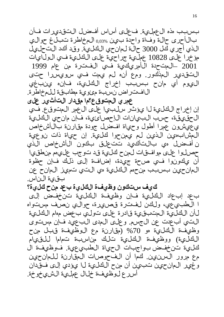بسربب مذه ال£حملية. فعلى أساس أفخسل التقديرات فأن بالأحرى حالة وفأة واحدة بين 0,03% المخاطرة تبالغ حوالى الذي أجري لئل 3000 حالة لمان حي اللئليءَ. وقد أكد التحليل مؤخرا على 10828 عملية جراحية على الكلية في الولايات 2001 ـال جدة الأمريكية في الفترة من عام 1999 التقدير المذكور. ومع أنه لم يهت في سويسرا حتى ال ي وم أي مانح بسبب إخراج الكليءَ، فإن ينبغي الافتراض نسبة مئوية مطابقة للمخاطرة.

عهري ال متوقى ع؟ما مقدار التأثىر على إن إخراج الكليءَ لا يؤثر سلبيا على ال عهر المتوقع. في ال حق، ق:، حسب البيانات الإحصائ، في: فإن مان حي الكلي: ي عيشون عمرا أطول وحياة افحن جودة مقارنة بال1شخاص الْ مِشْ ابِ مِينَ الْذِينِ لِمْ يُ مِنْ حِوا كَالِيَّةِ. إن حِياة ذات نوعي، ن أفضل مي بالتأكيد تتعلق بكون الأشخاص الذي حصل وا على موافقات لمن ح كلية قد توجب عليهم من طقيا أن ي1دونوا في صحة جيدة، إضافة إلى ذلك فإن حظوة ال<انحين بسربب منحمم الكليءَ مي التي تحي الله على الله عن الم بڨىءَ الناس.

كى ف ستكون وظىفة الكلىءَ ب عد من ح كلىءً؟

ب عد إب عاد اللفل ي قفان وظيفة اللفل ي قتن خفض إلى ا الطبيءِعي، ولكن لفترة قصهرة، حوالي نصف مستواه ل أن الكاليءَ ال متبقيءَ قادرة على تولي بعض موام الكليءَ النتي أب عدت عن ال جسم. وعلى المدى الب عيد فإن مستوى وظَّيفة اللَّـٰليءَ مو 70% (مقارنة مع ال1وظيفة قبل منح اللكليءَ) ووظيفة الكلية تلك مناسبة تماما للقيام كلِّية تن خفض بواجبات ال حياة الطبي عيّة. فوظيفة ال مع مرور السن ين كما أن الفحوصات المقارنة للمانحين وغير ال إن ي ن تبين الله عن الله عن الله عنها الله على الله عن الله عنها و الله عنها عليه الله عنها ا أسررع لوظيفة خلال عملية الشيءخوخة.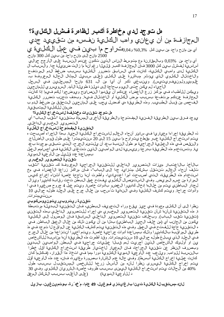هل توجد لدى مخاطرة أكبر لظاهرة فسشل الكلىء؟؟

الءجازفة من أن ي عان، واهب الكاليءَ نفسه من تقييهه جدي أي من مانح واجد من بءِين كل %0,3% و0,04 رات و ح ما بين في عمل اللحالية ي 2500 مانح إلى، مانح واحد من بءِين كل 300 مانح.

أي واحد من  $0.03\%$  وبالمقارنة مع متوسط الاس الذي نتكون عندم ال $\omega$ سبة على ال $\ell$ رجح حوالي أساس،ة لفشل بيِّن كل 3000 فيان الهجازفة الحبر وَّلِّيلا رغم أنها ما زالت ضيئ له جدا. والسباب ال اللخليءة لدى وامبي اللخلية، لخانت في السابق تضررر اللخلية بسبب ضغط الدم الهرتفع والاختارال الكالوي الذي يؤثر مباشرة على الكالي (على سبيل المشال الحالة العرضال الع غلوم، ويرول ون ي فريت ي س). وي نبغي ذكر أن أي! من ال- 631 م|نح! ال مس جلَّ بن في ال سجل اللَّاحِياء لهم يَالَيْنِ حتىي الْجَوْمِ بِحِاجِمَ إِلَى دِيلِزِة طُوِيلَة الْأَمِدِ. السرويسرري للمانحين

وي!الحن للأطباء فءٍ مركَّن زرع الأعضاء عندكم أن ي قدموا النصاويح وي وضحوا لكهم فءيها إذا كانت ال٥جازفة عندكم مرتفءة بسبب مرض الكلية أو الاختلال فيءا. وبعدف تجزب تضررر الكليءة الفحص من قبل الطبيبب وهذه الطريقة هي أفحل يجب على العانحين الشاسعي الله عن الله عن من غط الدم ب ضءان للكلىءَ الءتبقيءَ.

#### مل توجد تقن يات مختلفة للستخراج الكلىءَ؟

يوجد ف رق بين الطريقة الفن، المفتوحة والطريقة الأخرى المسماة بتقنية "شقب الباب" أي التصروير ال خبري الداخلي.

#### التقن ي ة ال هفتوحة ل استخر اج الكلي ة

ذه اللطري فية إجراءا م،عياريا في ساوير أنحاء ال4الم لاستخراج اللكلي،ة الحي، بعدا الابجراء أصبحت ه ي ع استخراج الله لي عبر مقطع ي تراوح ما بي ن 15 إلى 20 س ني بعثر اعلى طول قوس اللصل ع. والننقص فعي مذه العجلية الجراحية مو طول الندبة بعد أن يلتيءُم الجرح، التي تعبقي موجودة بعد يءَ. وتـُستخدم مذه الطريقة بدرجة رئيس، قي ادى الواهبين الذين تت غذى الكلية في أجسامهم العمل بءساعدة عدد قلىمل من الأوعىة الدموية.

#### تقن يءٌ التصوير المخبري

بالأخذ بالاعتبار مهزات التصروير الداخلي للتقنية الجراحية المراحيات المتوفة ك تقنية "ثقب نخلف أنحاء العالم نتنتقل بشاكل متزايد جدا إلى الباب"، فإن مراكز زراعة الأعضاء في مخ استخدام مذه اللطري قة، التءي أصبحت أمرا اعت،يادي!، وأظمرت أنها ناجحة خاصة أثناء إخراج كهيس الهرارة من جسم الهري ض. وفي ال است، عصرال الالخلوي ي فت حمق ال بطن تحت رق ابة لخامي را وي زال ل5دار الڢاطن2ي ي ع من خلالها إدخال كاميرا ال£ضور بأدوات خاصة. ويتم عهل 4 جروح صغيرة في ا وأدوات جراحة. وي تم كشف الكليءة وفي النءايءة تُ سحب من خلال جرح على ال جلد طوله حوالي 10 سنتوع ترات.

#### تقن *ي*ءَ ريتروب*ير پ*تون *پ*وسڭوبي

نظرا إلىي أن اللَّالي مجودة في حيز ي قع وراء التجويف البطني، فإن التقنية البديلة مرتبطة ة. مذه التقننية شأنها شأن تقنية التصروير المخبري مي إجراء للتصروير الداخلي بمذه التقني (تقن، و تقاب الباب). وبخلاف تقن،ة التصورير الداخلي السابقة فإن الوصول إلى الكلية ي[فون من الجانب أي (من خلف الحيرز الباطني) بـدل من أن ي[فون ذلك من خلال العمق الباطن ف] ه التقنوية حاجة للفتح في العجق. وفي مذه التقنية يتم كشرف الكلي، عن المنها عن الواقع لا توجد في مذ طريق الهراقبة بالكامهيرا وذلك بمساعدة أدوات جراحية خاصة. ويتم أخيرا انتزاعها من خلال الجرح في الجلد الذي يبلغ طوله حوالي 10 سنتي متر ات. وقد أظعرت هذه الطريقة أنها مناسبة للأشخاص ي نو أولىءَك الْأشْخاص الذي أجريت لهم قبلاًا عهليات جراحية في البطن الواهبين البدين وبصررف النظر عن تقنية الجراحة، فإن المءيار للختيار طريقة استخراج الكليءَ أقل خطرا بالنسبة للوامب ويلءجب عدد الأوعية الدموية اللحوية اللحارية دورا مهما في اتخاذ هذا القرار، (فلحلها لثان ك انت عهل، إخراج الكل، أبسط). وفَّي حال: عدم ال@شارة بـصورة مغاي رة، فإن عدد مذه الأوعية أقل ي ع إخراج الكليءَ الي سرى نظرا ل أن من ال أس ل زرعها للشرخص المستقبل بسبب طول 80% من الحالات ي تم استخراج اللهارية الي من بسبب ظروف خاصة الشريان اللهالوي. وفي 30 (علىي ال|غلب بسبب الشكل المعق د للأو عيءَ الدمويءَ)

#### ل(ند -مستقب لِ1 الكلوية تون( بارغ(يتزي فوغول، 49 علم)، مُخذِّرة، بوتمون غون، بازول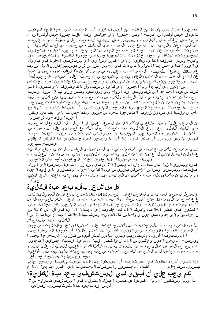كَصْرِغْوِيرة كَانت لدي مشاكل مع الكُلْرَى، مع أن ي لم اعرف أبدا السبب. في نءاية العام الماضي كاليءة إن حمض أوكسالينه اصبح الوضع خطيرا على حياتي عندما أعاقت حصوة حمض أوكسالينه ال موجود فــي ال£ذاء مثـل رابارباره والشمندر فــي ال1بداية انتفخت رجلاي فــقط، وهو ما عالجته كي لي زوجان بالحمية. إلىا ّ أنه مع مرور اليوقت بيقي السائل في جسم. في إحدى الأمسيات ح صديقان، طبيبان عن ذلك. وحددا لي صباح اليءِم التالي موعدا في عيادتهما. وبالتحاليل ال٫خبرية تم التألفد من وجود اختلالات باثالوجية جدية في حيوية اللهلية، والتشخيص لثان واضح! ومنذرا: توقف اللَّكارية نِ هايءُيا. وعلى الفور أرسلان، إلى مستشفى الجامعة في بازيل ي اليءوم التاليي خض عت ُ للديلزة! لثان ذلك في الخامس عشر من شير ديسمبر/لثانون الأول من وف عام 2003. خمضعت ليلدي ليزة شليات مرات أسبوعي! وفي مارس/أذار من هذا ال عام، ت وقف جسمي ت ماما عن إنتاج البول وفي الثاني والعشرين من يونيو/جزيران حصلت على قلي الجنير على التوبة من الله عنه الله عن ذلك بسررعة غير معقولة، عندما يعرف أن المريض الذي ي خضع للديليلزة عادة ما ي نظرون حدث كل

من عامهين إلىي أربعة أعوام للحصول على للحاي قالبية مناسبة، وأن ذلك ي توقف على فحصهانة الدم. كُنت س£يدة ال£ظ جدا لأن شبي،نتي عند الزواج ومي زمهيلتي، وتصغرني بـ 12 سنة عرضت رجوتها أن نتفاكر جديا في نتايك الخطوة، ولكنها قررت بحزم، بـك نتايقايءيا منح لخليت،ا. ليقد وكانت متعيقينة من أن كاريتها ستكون مناسبة من وجمة النظر الطبية. وحدث أنها كانت على حق. وب£د الفحوصات النفسيءة الإيجابية، والفحص ال‰ارن تُبيين أن كاليتاعين الله عن السبب تجام مع لمأحد أن ميقدمها إلىي صدييق ق\ريب: التخصحية بجزء من جسمي. وهكذا حصلت علىي أعظم مدية يهطفن ال£جسد ل[نقاذ حي|ة شخص م|.

مِن الصرع، عليَّ وصف مشاعري أنذاك. كان من الصرع، عليَّ أن أتحمل تالك الانف عاليات، خاصة في الأيام الأولى بحد زرع الكلية، وقد تحدثت حول ذلك مع أخصائي علم النفس في ُــأَتـتيبـل بالشاكر مذه ال0ديءَ غير ال5عقولة من صديقتي المستشفى. وعندها تعلمت كيف فـنادرا ما يهر يوم دون أن أفـأَكر فـيها. إلَا ّ أنه لها يمنبـغي السهاح بـتـنامي هذا الشَّكر ال£ظيم ل@صبح تبعية.

إنن2ي مهتنة جدا للكل من اعتنوا بي أشناء مكوشي في المستشفين الخاص بالتدريب باحتر افي عدها وليأن أي ضا. إن ني ل ا أعتنيد أنه كانت لي أية امتيازات ليأن في وتني دير قبل وأثناء ال عملية وب زمهيلة سروى إمكان،ي أن الµانحة وأنا نختار الجراحهين وأخصائءٍ التخدير.

فإنه ي طين ع التي التي التي السلام عنه عليه ع الله عليه ع الله عنه الله عنه الله عليه الله عنه الله المحر الله فَتَقَطَّ بِـلِّ وَمِكْنِتَـنِي أَيِّضاً مِنَ الْإِحِسَاسِ بِـأَنْنِي سِلْ2ِيم، الْكُلْ2ِية الْحِيَّ ة لم تَبِقَنِي عِلْي قَيد الْحِيَاة وهو ما لهم يكفن مهكينا قببلا بسربب كليتي المريضتين. والأن وبطريقة جديدة وأعنف أشعر اننهي حې ئېقىق

## هل س|ش عر ب|لم بعد مبة الكليءَ

(السرجل الصرحي السرويسرري لم ان حي أعضراء ال جسم SOL -DHR- صرر ح الب عض من المسرج يك ين لدى غ عددهم حتى ال1يوم 337 مانح ك لي، لي ظة ت له المعس تشفي، بـأنه ق شع بـأله الأحياء) والب ال أثن|ء مكوثه في المستشفى. والتبلييغ عن ألام شديدة من قبل الماراتين، المنه الله عن اله عن الله عنه الل اللكثير في ألكثر الحالات، ويُصف الألم ك "خفيف إلى معتدل" إلى" أنه في أقل من 10% من ن إجراء مؤلِّم إلىي حد ما، في حيمن أن واحدًا مِن لَئِل 40 مانح! وصف هبة ال(الن المصلَّ عنها باليَّ عن الكلليءَ بأنها "مؤلمة جدا".

الأرق|م التي قيِّس بها الألم اختلفت إلى أدني حد اعتمادا على تقنيءَ استخراج الكليِّ في السَّار الله عن أن ال\باروسكوب،يا والريتروب،يريتون،وسكوسياس الم تؤلما إطلاق!. أن طريقة السيطرة على لْأَلْمِ وتَكْوِيفَ الْأُدوية مِع شِيدته ربم يكون لهما دور أَكْثَر أَمْهِية مِن تَتَوْنِيهَ الْاسِتخراج المحددة ا

وي ُنص َح ال١مانحون الذين يخافون من الألم أن يلفتوا، قبل العهلية، انتباه أخصائيَّة على الله عنها وال هذا وال جراح وال0مهرضات إلى، خوف‰ من الأل0م وأن ي طلبوا شاك لا أكث رفاع لي تاليس يطرة على الألم. و مبــرر بــصورة خاصة ل1دي ال1شخاص ال1صرحاء تــماما وفــي حالة جسدية جيدة، الذيين ييقبـلون طواعية الخضروع ل£عملية لصرالح شخص اخر .

وإذا نـَّبءِين أَثَّناء ال1فوث فـي ال1صرتشفي أن الس2طرة على ال1لَّم لي ستٍّ من اسبة، ي ن- عَي إعلَّام الأطباء المختصرين والممرضات المختصات على الفور لتءديل العابر بصرورة مستءجلة.

كم ي جب علي أن أبقى في المستشفى ب عد مبرة الكلي، ؟ 14 ي وما. وس تك ون ال عوامل ال فردية مي فترة البتياء ال متوقعة في ال مستشفي تتراوح من 7 الأسراس عند تحديد مدة العكوث بصرورة انف رادية.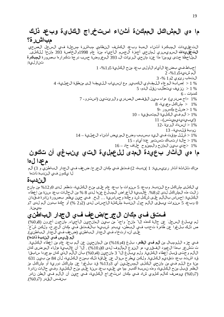## م۱ مي الءش!كل الممكنة أثن!ء استخراج الكلي، وبعد ذلك <u>مب اش ر</u> ة؟

الت عق،عدات ال،جلارة أثناء ال،بة وبعد اللهشف النظامي مباشرة مسجلة في السجل الصرحي **الت عقي ميدات** ال $\omega$ رويسرري ل1مان-ي أجمزة ال $\omega$ سم ال $\epsilon$ ياء من عام 1998وال $\epsilon$ اصرة 393 مان $\epsilon$ ا لىلى لىلى ال ال@لاحظة حتى يومنا هذا عند مان عي الـرئات ال- 393 ال0عروضة حسب درجة تـلـُـرارها بــصورة ا**لـمبـكرة** تن(ز لىءَ:

### م۱ مي ال١ثار ب٤عيدة المدى لل£ملية التي ينبغي ان تكون م عدا ل10

مناك شلاثة أشار رئ بيس، : 1)ندبة، 2) فتق في مكان الجرح/ ضعف في الجدار الباطني و 3) ألم ل ا ى كون في الندبة ذات ا

#### الىن دىن ة

ي اللخليي مشالخل مع الندبة. وبعد 5 سنوات ما بعد عام على منح اللخلية، تنظَّر لدى 9و12% من مانح زالت مذه ال@شاكل لدى 2و8%. غالبيءَ الـأعراض ال@بـلغ عنها لدى 8 % من الحالات بعد سنة من إعطاء اللكليءَ: إحساس بالألم على شكل شد وحكة وحساسيءَ … إلخ. في حين ي ظمر بصرورة نادرة فتقدان 0 وب ع. 5 سَ روات ي بوَّن ال1لم حول الن دبة مثَّل له الراحساس لدى (2و2 %) أو حكة بدون ألم لدى 7و م0ي0نة.

#### فت ق في مكان ال جر ح/ض عف في ال جدار الباطني

لَّم ي بلَّ في السَّ جلَّ عن حالَّة كَمَذْه إلَّا ّ مانحٌ واحدٌ من بءِين اللَّمانِ عِين الـأُحِياءِ. مانحون أخرون (8و0%) ص ذلك بَّلى غوا ّ عن ظاهرة تحدب فـي ال5بطن، ي1بدو شبيءِه! بالفحتين فـي مكان الجرح، ولكن شُ خ ِّر على أنه ارتخاء في الجدار الباطني (ضعف في الجدار الباطني). ألم (لىس فى الندبة ذاته)

في جزء اللدومبال من أ**لم في الظُُّد.** بـلغ (4و16%) من الµانحين عن ألم بعد عام من إعطاء الكلية. ت نتشعر بهذا ال£مود الفقري، هو النوع الهألوف لدي 0(و10%) . إلىا ّ أن غالبيءَ هؤلاء المرضى كان الألهم وحتىي قبل إعطاء الكلية. ولهم يبلغ إلىا ً 3 مان ي في (4و0%) بأن الألهم الذي كان موجودا سابتيا قد اشتد بعد تقديم الكليءَ. ولكن يطرح سؤال عن علياقة ذلك بجزح الكلية، لأن 84 من بين 631 منة مع اليام في من مان-ي البالخاري ال‰سجلءين أي 3و13% قد بياغوا عن مشاكل دورية أو مشاكل هز اللظمر قيبل منح اللكليءَ، وهذه نسبة أكبر مما مي عليء بعد سنة على منح الكليءَ. وفي حالات نادرة (7و6%) ي وصف لثألم لثلوي شاد في مكان استخراج اللثلية، في حين أن الألم في الطن نادر بنفس النيدر (7و0%).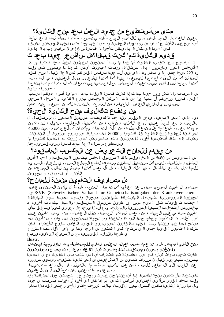### مت ي س/ستطيع من جديد ال£مل ب£ منح الكن يءَ؟

ب عين ال اعتبار الزمن الضرروري لالت،أم الجرح فإن ويُنصح بفترة نقاهة لهذة 3 مع الأخذ أساب،يع على الـأقل اعتبـارا من ي و إجراء ال عملية. وبـصدد عمل محدد مثل (ال عمل الجسماني الشراق) فإن العودة إلى مكان العمل ي لين تأجيلها لفترة من 6 إلى 8 أس ابيع ب عد العملية.

### ق.ديم الكلىءة كما كنت قبل!؟مل سأشعر جيدا بعد ت

4 أس ابيء بحد تقديم اللحليَّة، أم اع ادة ما ي بدأ ال مان حون ال ع الم ون الع عمل ب عد فت رة من 3 الْأَشْخَاص الذين يجارسون أعمالًا مستوَّلة، وربات البي وت أيضا فعادة ما يبدؤون في وقت رد 223 م|نح| خطي| علىي أبـاكـر وهذا ل| ي عني أنهم جيدا بـبنفـس الىق در كـم| كـان الـحال قيبـل الـمنح. فــقد السوؤال: كُم مِن الوقت احتاجوا لْءِشْ عِروا جيدا كُما كَانوا ي شرعرون قبل العملية. في المهتوسط كانوا بحاجة إلى 3 أشهر ل2ست عيدوا الإحساس بحالة جسدية جيدة، مع أن هذه الفت رات متباينة جدا بصرورة ف رديءٌ.

من الأسباب ول اتش عرون جيدا بذلك إذا كانت فتترة الىنقاهة بءد ال عملية أطول لدىكم لسبب القدر، فإننا نرجوكم أن تبلغوا عن ذلك للهركز المختص بزرع الكلىءَ وللسجل الصرحي السرويسرري ل\مانحي الأعضاء الأحياء. فمن ال\مم جدا بالنسبة لكم أن نتشعروا جيدا تماما.

#### من يِدفع تكاليف مِن ح الكليءَ الجيءَ؟

ذي، على المدى الب عيد، ي خر ال في د. وقد حدد ذلك ي ف عوا ص ندوق التأمين للم ُستقبل ال بال-سِّلاب: بعد إنجاز عمليءَ زراعة اللَّالي، بنجاح، فإن تلكاليف المعالجة بالديلزة لن تكون موجودة بعد. وبال اعتماد على نوع الديلزة فإن نتلك النفيقات ي طين أن نتبلغ حتى م ابين 45000 الهرافيّة لي جليءة زرع الكليّة اقل كثيّورا. و80000 أليف فيرانك سويسري سنويّا. أن النفيّات ي ضاف إلى ذلك أفضلي، أخرى للصين وق ذات، فالبريض الذي زرعت له اللهاي، قلك يحت يستطيع مواصلة العمل بعد فترة زمنية قصهرة جدا.

### من ي قدم للمانح الت عو ي ض عن المكسب المفتورد؟

من التعويض مو 80% من الدخل ي دم ذلك الصندوق الخاص بتأمين المستقبل. الحد الأدنى الهفخوود. وللنأسف، ليمس لثل صن ادي قالت أمهن مست عدة لدفع المبلغ الضرروري لل على اوة الأسرية للأم ات/الآباء مع الأطفال في تلك ال الحالات فإن الب عض كان وا مضطرين لطلب ال ساعدة من الأقارب أو الأصدقاء أو الجيران.

### هل مصار يه التأمين مؤمنة للمانح؟

صرندوق التأمين الصرحي مسؤول عن تخطية لخل نفخات المزح، بشررط أن يلخون الصرندوق عضو SVK (Schweizerischer Varband fur Gemeinschaftsaufgaben der Krankenversicherer نصاى الجم، عيءَ السرويسرية للمسائل المشتركة للمؤمنين صحياً) وقبول الصلة بين المشكلة ا حدثت تعقي دات فإن ال، اع ان عن طريق صندوق ال، التي الله عنه الله عنه الله عنه الله عنه الله عنه ال بخصوص التدخلات الطبيءَ الضرورية والمءالجة. ومع أنه له ي جد حلٍّ معياري فيها بيت إليه عنها بيت على بأي تأمهين إضافي على الحياة، فإن بحض الهراكز الخاصة بنقل الأعضاء تقدم أيضا تأمينا تأمي كور أعلىاه. هذا التأمهين ي غطي حالة الىوفاة وال!عاقة وهو ال5ياة للمانحهين إلى جانب التأمهين الىمذ صالح لهدة عام. وعندما يجبدأ ال£مل بالقانون السويسري الجديد الخاص بىزرع الأعضاء، فإن مشكلة التأمين القائءة حتى الآن ستحل في الكشور من الدين من الموجه العالمي الثاقل مدف المشرع ي طرحها وإق رار ها ال1قانون، مع أن الصرى غة النهائ، توينبغ

#### Ilustr.

مانح الكالي، توسي السابع حام الله عنهم من الله عنها عام الله عنه المسلم الله عنه الله عنها عنه الله ا ول\ن غن|و وبءِرن ومستقبل الكليءَ بي ات ش١ر 61 علما، م ُخِمَّ ر. تر يمباخ وسولوثورن

كانت تعهل بيات شار : في سن الطفولة تم اكتشاف أن لدي تـلف في الكلية، مع أن الكلين، وع بحرورة طبيءٍعية. قبل 8 سنوات نـُبين من التشخيص أن لدي كُلية متقيىحة وارتَوْي ضرورة عند الإحالة إلى النتقاعد. للسف فإن عهل الكلية مبط ـ إما بالديلزة أو بالزراعة ـتبديلها " بسر عة ومو ما دفعن ي بأن اتخذ ال1ورار قبل عامىين.

ل|ستعداد لأن نتكون م|نحة الكليءَ، إل] ً أنه عندما حان عبـرت زوجتي عن ا تحادثن| حول المشكلة وقد وقت اتَّخاذ الفَّرار سألينِّي أخصائيِّي أمراض اللُّفلِّي عِمَّا إذا كان لِّي أُخْوة أو أخوات، بسبب أن جودة وملاءمة زراعة الكليءة تكون أفحضل بيهن ال قرباء بالدم. شرحت حاتبي ل أخي وأختبي. ليقد ذمل اتماما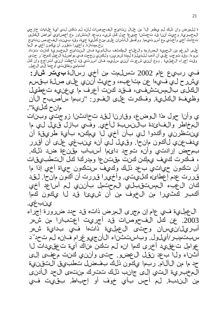ة للمرض وان ذلك لهم ي ظعر إلىا ّ من خلال نتائج الف حوصات ليأنه لهم نتكن لدي أيَّة علىامات خارجي ال٥خبرية. وحيمث أننا قد تحدثنا جميعا حول لحل شيء وبعد التشاور مع أخصائ، أمراض الخاص تحادث أخي وأختبي مع أسررتيهما. ووافق ال\ثن\ن على منح كليءة حية، وقد بيمينت الفحوص نتائج ن- مهتازة. وأخهيرا تقرر أن ميكون أخي مو ال0ا

على البرغم من ال5مهية الصارمة والءلماج المكثف بالأدوية ف]ن النِّتائ المخبريَّة في السَّاسيَّة بِ الس س وءا. وقد توجب عليي أن أذهب للديلزة لمدة ش رين، ولكني نجحت في مواصلة ال عمل لحمر تر حتي وقت إجراء ال£ملية . ومع أنن2 شعرت أنن2 سل2يم، فإن أسرت ي قد لاحظت أنن2 أنتراجع وان كل اهتمامي وطاقتيى أوجمعا إلى ال عهل.

فتي ربيع عام 2002 تسلمت من أخي رسالة **بيت شار:** ي شرح لي فيها عن متاعبه، وحي ث أنني على صلة بقسم الكالى بالمستشفى، فقد كنت أعرف ما يعنيه تعطيل وظيفة الكلية. وفكرت على الفور: "ربما سأصبح الآن مانح كليءَ".

ى وأنا حول هذا الىوضىع، وقارن الىقد تحادثن! زوجتي وبنات ال مخاطر والفائذة بالنسبة لأخي. وفي بازل قيل لي ما ي:تظرني وأكدوا لي بأن أخي ليا يهكنه بأية طريقة أن ي دفعن، فالكون مان حا. وق ي للي أنه ي نب غي على أن أق رر بمحض إرادتيي وأن. توجد دائءا أسباب مقنعة ضد ذلك. ، فـاكرت كـيف يمكن كـنت مقتنعا ومدركا كل التـطبيقات أن ناكون حياتي بحد ذلك وكيف ستكون حياة أخي إذا ما ق ررت عدم إعطائه كلىيت، وأخيرا قررت أن أكون مانحا. لقد كان ال£بء المستقبلي المحتمل بأنني لم أساعد أخي أكبر كثثورا من الخوف من أن شيءنا قد لا يكون كما ينب غي.

ال£ملية في عام إن مجرى المرض ذاته قد حدد ضررورة إجراء 2003. عن لئل الفحوصات ق1 أجريت اعتبارا من ش0ر أب ري ل/ن ي سان وحتى ال عملية ذات.ا في بدايءٌ ش.ر سبت مبر/أي لول. وباست ثن اء ال أن جي وغرام ف إن ه لم تحد آد عوامل ت عقِّ يد أخرى كما ان لم تكن من اك أيَّ ت عقِّ دات ل ا أثناء ول ابحد نفل ال عضو. حتى وأنني كنت محفى إلى حد ما من الألاام. ربما ياكون ذلك بفخسل تطبيق التقنية ال مخب ريءَ التي إلى جانب ذلك تتكرك منت، الحد الأدنى مِنِ النِدبةِ. ليم أحسِ بأي خوفٍ أو إحباط. بيقيتٍ في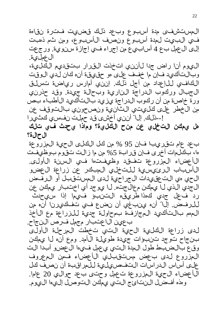الءستشفى مدة أسبوع وبحد ذلك قضيت فتنرة نقاءة فيُ اللبيت لمدة أسبوع ونصف الأسبوع، ومن ثم ذهبت إلى ال عمل بع 4 أساب،يع من إجراء في إجازة سنوية. ورجعت ال عمل يءٌ.

الى وم أنا راض جدا لأنني اتخذت القرار بتقديم الكلية، وبالتألفيد فإن ما خفف على هو حقيقة أنه كان لدي الوقت اللكافءِ للإعداد من أجل ذلك. إن ي أمارس رياضة تسلق ال جبال وركوب الدراجة النارية وبحالة جيدة. وقد حذرنهي ورة خاص: من أن ركوب الدراجة ي زيد بالتألكيد الأطباء بص من الخطر على الخاريتي الثانية ونصحوني بالتوقف عن ! ــذلك. إلىا" أنن2، أخشى قد حملت نفسو، كثَّيرا

هل ي!هكن التخلي عن منح الكليءَ؟ وماذا يحدث في تلك ال ح ال ة؟

ب عد عام تقريبا فإن 95 % من كل الكلى الحية الحزروعة ها، بكالمات أخرى فإن قرابة 5% من ما زالت تقوم بوظيفت الأعضاء المزروعة تفقد وظيفتها في السنة الأولى. الأسَّباب الروئيسِية للتَّخلي المبكر عن زراعة العضو الحي مي التحقيدات الجراحية لدى المستقبل أو الرفض ال جدي الذي ل ا ي حكين م عال جت. ل ا ي و جد أي اختبار ي حكين عن رد فعل جدي كهذا طريقه التنبؤ فيهما إذا سيحدث للرفض. إلى اتّ أن، ي نبغي أن نضع في تفكيرنا أن، من ال مهم بالتألفيد ال مجازفة بمحاولة جدية للزراعة مع الأخذ ب عين ال اعتبار مجمل فرص النجاح.

لدى زراعة اللخلية الحية الساني تخطت المرحلة الأولى بنجاح توجد تنبوات جيدة طويلة الأمد. ومع أنه لا يهكن وقع بالضبط طول ال دة التي ي عمل فيءا ال عضو أبدا الت ال مزروع لدى ب عض مستقبلي الأعضاء فمن المعروف على أساس الدراسات التفحصيلية للمراقبة أن نصف كل الَّ أعضاء ال $\epsilon$ ية ال $\epsilon$ زروعة ت $\epsilon$ مل وحتى بءد حوال $\epsilon$  20 عاماً. ومذه أفخسل الننتائج التي يهكن التوصل إلىءا اليوم.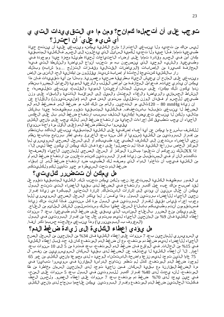## توجب على أن أتحملها كمانح؟ ومن ما مي التقي يهدات التي ي أي شءٍ على َ أن احترز؟

لْ،يس مناك من تحديد ول\ ي نبغي ال\حتراز! مانح الكليءَ ي لمكن. وي نبغي عليءَ أن ي نت ج حياة طبي عيءَ تماما. فما احمية ول اتحديد للحمية السائل الذي يدخلونه إلى الجسم. فاللحلية المصبقين مكان أمن فءي ال£سم وقادرة تماما على، إرضاء ال|حتىياجات ل5ياهاة طويلة مجمزة جيدًا وموجودة في وطبيءيءَ. والشءيء الوحيد الذي ي نصحون به مو تجنب أنواع الرياضة والنشطة التي فيها ال جازفة ك بي رة من الإصابات (الري اض ات القتالية وقفزات التزلج ...وم شابه) وبذلك ر ار بالكلهية كنت،يجة لحادثة أو إصابة شديدة. مِقللون من إمكانهية الحد الأدنى من الإض

وي نبغي على المانح أن ي عيش الحياة بـطري قة صحية وعصرية. وبـدل امن أية تـتي يـيدات فـالن هذا ي إلى الله عن الله عنه الله عنه عليه عنها الله عليه الله عن العنها عن الله عنها الله عنها عنها عنها الله المحرر المسلم الله عنها عنها الله عنها عنها عنها عن الله عنها عنها عنها عنها عنه ندما ي[كون ذلك ممكنا، على سبهل المثال: أوعيتنا الدموية والقلب)، يمنبغي تقلهصما، ع الىنشاط ال5سمان، والىرىچاضة والىغذاء ال5عتدل وال5ميل إلى العراقبة الذات،ة والىابىتياء على وزن طبيءِي للجسم أو فتيدان الوزن وتقليل مستوى الدمن في الدم (موليستيرول) والإقاباع عن

إن زي|دة 120 — 120شالي مو التخرين. وال|مم من ذلك كاله من ضرعط الدم. فـمضغط الدم الهم الهم الصف غط ل اين بحوي تقبل الباست خف اف. فال الحل ي الم الحسن الع الى العن الله عن الله عن الله عن الله مثالي، وللكن لا ي نبغي تجريضها إمكان، التلف بسبب ارتفاع ضغط الدم بالي على الله عن الدم و الله على ال الأاحياء أن يجب تطبيق كل إجراءات الحماية من ارتفاع ضغط الدم. لذلك يجب على مانحي الكلي ي قي سروا بانتظام ضغط الدم (على الأول مرة واحدة سنوي)

لْمَاكْشْفْ بِأَسْرِ عِ مِا يُمِكْنَ عِنْ أَيْةِ أَعْبَاءِ إِضْافَتِيَةِ عَلَى الْأَفْلَىيَةِ الْمِت بقيءَ، ي نبغي التأكد بانتظام من إفــــراز ال1بــروت،يِن من ال1لحارية (سن1وي! أو كحل سنة ب٤د ال1خري). وفـــي إطار بـــبرنامج متابعة نظام نحي الأعضاء ستدعون إلى الكشف الطبي عند طبيبكم أو إلى السرجل الصرحي السرعي السويسري لها الهركوز الخاص ب(راعة الكلية. فإذا لهم تحصلوا على دعوة فإن ذلك ي هكن أن يكون خطأ ليس إلى "، إذا XXلذلك ن جوكم أن ت£لموا مباشرة المركز أو السجل الصرحي للمانحين الأحياء (الصفحة تألفدتم الأن أو في ال@ستقبل من زيادة إفــراز ال1بـروتين كُنتم تعانون من ارتـفاع ضغط الدم أو من اللفلىءة ف،عجب أن ناأخذوا الدواء الذي وصفه لك الطبيب ضد ارتفاع ضغط الدم. إن إبتىاء ضغط الدم تحت السهيطرة مو خهير تأمهين لكه ولكلهيتكم.

### ەل يµغىن أن تت**تض**ررر كىل*يتي*؟

ي الفور بوظيفة الكليءَ المستخرجة. نعم، ولكن يهكن تجنب ذلك. الكليءَ المتبقية المستوية توم عل لْهَد أَصلبح مناك علبء عمل أكبير وارتخاع في الصفط لدى بيقية الأعضاء التي تنتج البول يهايُّن أن خلال سن2ين أن يودي إلى إشارات الاستمالك. إشارة التخذير الهبانحوة مي زيادة إف را ن وين الأحياء للأعضاء ب روت ين البول وهذا ي فس ِّر لها ي ذكر السجل الصحي السوي السرويس بي للها وجوب إجراء ق،عاس دق،عيّ ل\ف راز ال1بروت،عن في ال1بول مرة كُلّ س\نت،عين. فإذا كانت مناك زيادة فسرتقومون أنتم وطبيببكم بإباراغ السرجل خطيا بذلك وستتسلمون الشكل الملائية من العناصرة على وي الى من ع ال ضرر ر بال على ج ال من اسب الذي ي بين ي على ض غط الدم طبي عي!. ب عد 7 س روات إعطاء الكاليءة فإن 9% من ال\انحين الأحياء لديءم مستوى عال جدا من إف راز الب روتيين في البول (المعروف ب ألبومهينوري)) وهذا ي نبغي معالجته حسبما ذكر أنفا.

#### هل يُودُدي إعطاء الكاليءَ إلى زيادة ضغط الدم؟

ي السرويسرري للدان حين بعد 7 سنوات على إعطاء اللهلي: فإن 34% من الدان حين من السرجل الصرح الأاحياء للأاعضاء لديءم ضغط دم مرتفء، مع أن ضغط الدم المرتفع فان قد حدد قبل إعطاء الكليءَ في 15% من الحالات. في الرواقع ف|إن ضغط ال\م المرتفع، بعد فت رة من 5 إلى 10 س\وات بعد أعمار . إلَا َّ أن إعطاء اللَّكَلِّيَّة لَا يُخِتَّلُّفَ عِنَ الْضَغِطْ لَدَى بِتَيْءٍة السَّكَّانِ السرويسرويون من نفس ال 75 عام! الذيين توجد لديءم نزعة واضحةًــال@ستثناء الوحيد ه لدى مجموعة مانحي اللَّـالي من عمر 65 لوجود ضغط الدم المرتفع. كذل لم تظمر نتائج الدراسة المقارنة في سويسرا تباينا في هرة الْمَضْغِطْ الْمِقَارِنِيَّة مِعَ بِيقِيَّةِ الْسِيكَانِ. فَمِنْ زاحِيَّةِ تَوْجِدٍ لِدِي الْمِانحِين السهان مخاطرة مِن ظا الهرنغاع، لأن ي عدث لدى 40% إفــراز أكتبر للبرونتين في البول بعد 5 سنوات على البرت. في حين ي وجد ل دي 70% ضغط دم مرتفع بعد 7 س وات على إعطاء ال عضور. ول حسن ال ظ فكانتا الحالتون ضغط الدم المرتفع وإف راز البروتوين ي طين على اجمعا بنجاح لدى مان على الله على الله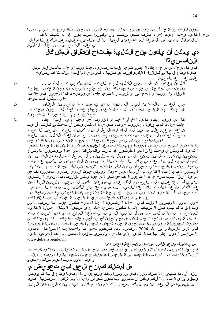لُوزن الزائد عن الحد. أن البحض من ذوي الوزن ال@فـرط الذين إلى جانب ذلك ي رغبون فـي من ذوي ا منح الالخليءَ ي جب علي هم إجراء لخشف طبي منتظم وأن ي لخونوا مست عدين، إذا ما شبت ذلك، أن لتَــناولُ ال1أدوية ضد الصن غط المرتف ع مدى ال حياة. إلىا ّ أن مؤلياء ي جب عليهم عمل ذلك عاجل الم أجل ا ي فعالوا ذلك وحتىي بدون إعطاء الكلِّية.

# هي يءكن أن يكون منح الكليءَ مفتاح انظراق المشاكل الن**ف**س يءٌ؟

في لئل مرحلة من مراحل إعطاء ال عضو توجد عقبات نفس، محددة ي ب غي حلها بألئبر قدر معكن. فيءا يتعلق بالموافقة (اعة الكليةين) في التابع عن التابع التي التي تحتيل التي تصال التي التي التي الت علىى إعطاء أعضاء حيىة:

 $1 -$ 

 $2 -$ 

 $3-$ 

ك لفل مِن ي ع توند أنه ملزم بمن الكلي، لأخ أو لأخت أو لشرويك حياته أو لطفل … وللكنه في الواقع لا ي رغي في في الألف، ي نبغي عليه ولي عليها الله عنها الله عليها الله عليها بي عليه الننقل. وليا ي نبغي الخجل من أي شيء، وليا توجد حاجة ليأن ي وضح ذلك للآخرين. في حاليات حلول مطكن، كعدده توجد

منح ال£ضرو بالتألفيد ليمس الطريقة التي يوصٯ باه لتحسين العلاقة الس2يءَة بيمن ال1مانح وال٣مستقبل. فكال شخص ي عطي عضوا أخذا ذلك بعين الاعتبار س2يشعر فيءا بعد بخيبة أمل كبيرة.

كل من يريد إعطاء كلية لأخ أو لأخت أو ليقريب أخر يجب عليه، قبل إعطاء حادث حول ذلك ب؏ناية مع شرريك حياته. في حالة العكس ي5طن أن تحدث موافَّقته، أن ي نزاعات مزعجة. على سبيما المثال إذا أراد البرجل أن يءب لثليث، لأخته في حين لا تحب زوجتُه أختَ ه ول! ت رغب فءٍ تدمور صحة زوجها بسبب أخته. إن إعطاء اللهاى بِّهن الأخوة اس،ي تمها مي ب،ين شرريكي الحياة.وال أخوات بالمعنى النفس، مسألة ألفث حس

إذا م! وضرع ال0مانح فــي نفــس ال£رفــة مع مستــقبـل **بـعد ال£ملية مباشررة:** المشاكل الجديدة تــظُّّر الكالىء، فَّى طيَّن أن يحدث قليق لَّدى البطَّرفيِّين، إذا كانت مناك مشاكل لدى أحد المريِّضيِّين. إذا وضرع الءان يُون ي دركون متألِّمين الءانح وال مستقبل منفصليين و وو لربءا حل أفحنل، فإن الكثيمر منّ أن٥م ول\ول مرة ل،يسوا بعد ف، مركز الاهتمام فال|طباء ي(ورون الأن مستقبل الكليءَ عدة مرات ي وجيا. وي قول ال مانح: مكذا ي نب غي أن ي كون ال أمر ول كن، : "ي ول ون ن الآن ال حد ال أدني من ال امت مام، ة وبــسرر عة بـعد إعطاء ال1فلي،ة، مع أن وهذا ليَّ س جيدا". وي ولفن حدوث ان0ي[ر نفـس،، بـصرورة مفـاجئ عمليءَ النفل تجت بنجاح. هذا التغير المفاجئ في المزاجية يهكن يمكن مقارنته بالانهيار النفسي الذي ي ظعر بعد عملي، ولادة ناج حة، وبالذات عندما ي توقع أن تكون الأم سعيدة. ول حسن الحظ ف|ن ع|دة ألىش من عدة أي|م، أو ن|درا عدة ال|نءي|ر الىنفسى بعد منح اللهلي: ح|لة مؤقتة ل| تستصر أساب،يع. إلىا ّ أن الىان،يار الىنفس،ي سرريعا بعد منح الىكلى، ليمس مشكلة اعت،يادية ولىم يلىاحظ إلىا ّ عند 6 من ب2ين 393 مانحا في سجل ال1انحين الـأحياء أي نسبة (5و 1 %).

حهين الذي نل وبمرور الوقت فإن الحالة النفسيءَ العامة للمانح نتافون جيدة. بالنسبة للمان يت علىق ذلك بءم، فإن الأسباب عادة ما نتكون واضحة جدا، على سبءيل الهثال: خسارة الكلهية الَّ مِنْ وَحِمَّ أَو ال مِشْ الْحَلْ لَ دى مستقبِّل الْخَلْدِية اللَّذي لَم يَ تَوقَّ عِها الْ مِان وفتي أس وا ال حال ات موت رة. ليق المصتونا ل. التحادث حول ال شاكل مع مان حين أخرىن أحى اء غالب اما يكون ذات مس اعدة كبي وض£ت ال5م،عية السروي سرية للمان ي ن الأحياء لأغضاء السيسم لمان عي الك ب والكليء تال السية الموسسة في شعر مارس/أذار من عام 2004 لنفسها معمة تنظيم مجموعات واجتماعات للمساعدة الذاتية للأشخاص الذين أعطوا بالفعل لحلي. على للى حال حال يُ وص، باقيامة الانصال مع مذه الجمعية على: www.lebenspende.ch

#### هل يتأسيف مان حي الكلي سابق! لأن هم أعطوا أعضاءهم؟

في إجاباتمم على السرؤال "ليو قرررتم من جديد بخصوص منح كليءَ، مل نف عليون ذلك؟" رد 95% ب-"نعم" و 5% ب- "لي". ال غالبيءَ ال عظمي من ال1مانحين لهم موقف إي جابي تجاه عماليءَ الراعطاء والن قل، أولىئك الذين كانت لدي مم مشاكل حتى و

### هل أمتالك كمانح الرحق في توي عو ي ض ما

نفذا ۖ أو مادة. فــبيع الأعضاء ممنوع فـي سويسرا ومكذا ي نبغي أن لــلا، فـيما يتعليق بالتعويض يِّبَّتي، وإلى، ال£بدُّ. إل" أنكم يهطفن أن تَكونوراً متألفدين في أمرَّ واحد أل! ومو شكَّر الّهستقبل. فتقد ة الروئيس،ي مي السءادة الدائءة لأنكم بمحض إرادتكم قدمتم أكبر مدىة بينت الخبرة بنايات المجائز